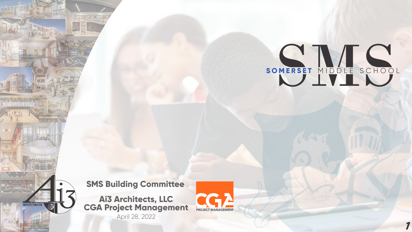

**Ai3 Architects, LLC CGA Project Management** April 28, 2022





**SMS Building Committee**

**1**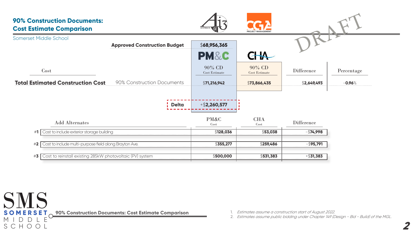

**90% Construction Documents: Cost Estimate Comparison**

# **90% Construction Documents: Cost Estimate Comparison**

1. Estimates assume a construction start of August 2022. 2. Estimates assume public bidding under Chapter 149 (Design - Bid - Build) of the MGL.



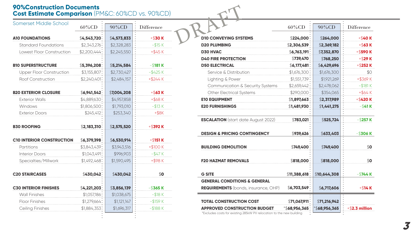| Somerset Middle School           |                |             |                   |  |  |
|----------------------------------|----------------|-------------|-------------------|--|--|
|                                  | 60%CD          | 90%CD       | <b>Difference</b> |  |  |
| <b>A10 FOUNDATIONS</b>           | $$4,543,720$ : | \$4,573,833 | $+$ \$30 K        |  |  |
| <b>Standard Foundations</b>      | $$2,343,276$ : | \$2,328,283 | $-$ \$15 $K$      |  |  |
| Lowest Floor Construction        | \$2,200,444    | \$2,245,550 | $+$ \$45 $K$      |  |  |
| <b>B10 SUPERSTRUCTURE</b>        | \$5,396,208    | \$5,214,584 | $-$ \$181 $K$     |  |  |
| <b>Upper Floor Construction</b>  | $$3,155,807$ : | \$2,730,427 | $-$ \$425 $K$     |  |  |
| Roof Construction                | \$2,240,401:   | \$2,484,157 | $+$ \$244 $K$     |  |  |
| <b>B20 EXTERIOR CLOSURE</b>      | $$6,941,542$ : | \$7,004,208 | $+$ \$63 $K$      |  |  |
| <b>Exterior Walls</b>            | \$4,889,630:   | \$4,957,858 | $+$ \$68 $K$      |  |  |
| Windows                          | $$1,806,500$ : | \$1,793,010 | $-$ \$13 $K$      |  |  |
| <b>Exterior Doors</b>            | \$245,412:     | \$253,340   | $+$ \$8 $K$       |  |  |
| <b>B30 ROOFING</b>               | \$2,183,310    | \$2,575,520 | $+$ \$392 K       |  |  |
| <b>C10 INTERIOR CONSTRUCTION</b> | \$6,379,398    | \$6,530,914 | $+$ \$151 K       |  |  |
| Partitions                       | \$3,843,439:   | \$3,943,516 | $+ $100 K$        |  |  |
| <b>Interior Doors</b>            | $$1,043,491$ : | \$996,903   | $-$ \$47 $K$      |  |  |
| Specialties/Millwork             | $$1,492,468$ : | \$1,590,495 | +\$98K            |  |  |
| <b>C20 STAIRCASES</b>            | \$430,042      | \$430,042   | \$o\$             |  |  |
| <b>C30 INTERIOR FINISHES</b>     | \$4,221,203    | \$3,856,139 | $-$ \$365 K       |  |  |
| <b>Wall Finishes</b>             | $$1,057,186$ : | \$1,038,675 | $-$ \$18 $K$      |  |  |
| <b>Floor Finishes</b>            | $$1,279,664$ : | \$1,121,147 | $-$ \$159 $K$     |  |  |
| <b>Ceiling Finishes</b>          | $$1,884,353$ : | \$1,696,317 | $-$ \$188 $K$     |  |  |
|                                  |                |             |                   |  |  |



| ,CD)                      |                                                                                                             |                 |              |                   |
|---------------------------|-------------------------------------------------------------------------------------------------------------|-----------------|--------------|-------------------|
| e                         |                                                                                                             | 60%CD           | 90%CD        | <b>Difference</b> |
| ) K                       | <b>D10 CONVEYING SYSTEMS</b>                                                                                | \$224,000:      | \$264,000    | $+$ \$40 K        |
| 5K                        | <b>D20 PLUMBING</b>                                                                                         | \$2,306,539     | \$2,369,182  | $+$ \$63 $K$      |
| 5 K                       | <b>D30 HVAC</b>                                                                                             | $$6,763,191$ :  | \$7,352,870  | +\$590 K          |
|                           | <b>D40 FIRE PROTECTION</b>                                                                                  | \$739,470       | \$768,250    | $+$ \$29 K        |
| l K                       | <b>D50 ELECTRICAL</b>                                                                                       | $$6,177,481$ :  | \$6,429,696  | $+$ \$252 K       |
| 5K                        | Service & Distribution                                                                                      | $$1,676,300$ :  | \$1,676,300  | \$0               |
| ŧΚ                        | Lighting & Power                                                                                            | $$1,551,739$ :  | \$1,921,269  | $+$ \$369 K       |
|                           | <b>Communication &amp; Security Systems</b>                                                                 | \$2,659,442:    | \$2,478,062  | $-$ \$181 $K$     |
| $\overline{\mathbf{S}}$ K | <b>Other Electrical Systems</b>                                                                             | \$290,000:      | \$354,065    | $+$ \$64 $K$      |
| 3 K                       | <b>E10 EQUIPMENT</b>                                                                                        | \$1,897,663     | \$2,317,989  | $+$ \$420 K       |
| 3 K                       | <b>E20 FURNISHINGS</b>                                                                                      | \$1,481,930     | \$1,441,275  | $-$ \$41 K        |
| 8K                        |                                                                                                             |                 |              |                   |
|                           | <b>ESCALATION</b> (start date August 2022)                                                                  | $$783,021$ :    | \$525,724    | $-$ \$257 K       |
| 2K                        | <b>DESIGN &amp; PRICING CONTINGENCY</b>                                                                     | \$939,626       | \$633,403    | $-$ \$306 K       |
| l K                       |                                                                                                             |                 |              |                   |
| ) K                       | <b>BUILDING DEMOLITION</b>                                                                                  | \$749,400:      | \$749,400    | \$o               |
| 7 K                       |                                                                                                             |                 |              |                   |
| 3K                        | <b>F20 HAZMAT REMOVALS</b>                                                                                  | \$818,000:      | \$818,000    | \$o\$             |
| \$0                       | <b>G SITE</b>                                                                                               | \$11,388,618    | \$10,644,308 | $-$ \$744 K       |
|                           | <b>GENERAL CONDITIONS &amp; GENERAL</b>                                                                     |                 |              |                   |
| 5K                        | <b>REQUIREMENTS</b> (bonds, insurance, OHP)                                                                 | \$6,703,549     | \$6,717,606  | $+$ \$14 K        |
| 3 K                       |                                                                                                             |                 |              |                   |
| PК                        | <b>TOTAL CONSTRUCTION COST</b>                                                                              | $$71,067,911$ : | \$71,216,942 |                   |
| ЗK                        | <b>APPROVED CONSTRUCTION BUDGET</b><br>*Excludes costs for existing 285kW PV relocation to the new building | *\$68,956,365∶  | \$68,956,365 | $+$ \$2.3 million |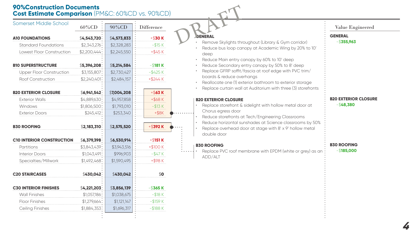- Remove Skylights throughout (Library & Gym corridor) DRAFT<br>DRAFT<br>PENERAL<br>Remove Skylights thro
	- Reduce bus loop canopy at Academic Wing by 20% to 10' deep
	- Reduce Main entry canopy by 60% to 10' deep
	- Reduce Secondary entry canopy by 50% to 8' deep
	- Replace GFRP soffit/fascia at roof edge with PVC trim/ boards & reduce overhangs
	- Reallocate one (1) exterior bathroom to exterior storage
	- Replace curtain wall at Auditorium with three (3) storefronts

Replace PVC roof membrane with EPDM (white or grey) as an ADD/ALT

### **B20 EXTERIOR CLOSURE**

- Replace storefront & sidelight with hollow metal door at Chorus egress door
- Reduce storefronts at Tech/Engineering Classrooms
- Reduce horizontal sunshades at Science classrooms by 50%
- Replace overhead door at stage with 8' x 9' hollow metal double door

### **B30 ROOFING**

**GENERAL**

-\$**355,963**

#### **B20 EXTERIOR CLOSURE** -\$**48,380**

#### **B30 ROOFING** -\$**185,000**

| Somerset Middle School           |                |             |                   |  |  |
|----------------------------------|----------------|-------------|-------------------|--|--|
|                                  | 60%CD          | 90%CD       | <b>Difference</b> |  |  |
| <b>A10 FOUNDATIONS</b>           | $$4,543,720$ : | \$4,573,833 | $+ $30 K$         |  |  |
| <b>Standard Foundations</b>      | $$2,343,276$ : | \$2,328,283 | $-$ \$15 $K$      |  |  |
| Lowest Floor Construction        | \$2,200,444    | \$2,245,550 | $+$ \$45 $K$      |  |  |
| <b>B10 SUPERSTRUCTURE</b>        | \$5,396,208    | \$5,214,584 | $-$ \$181 K       |  |  |
| <b>Upper Floor Construction</b>  | $$3,155,807$ : | \$2,730,427 | $-$ \$425 $K$     |  |  |
| Roof Construction                | \$2,240,401    | \$2,484,157 | $+$ \$244 $K$     |  |  |
| <b>B20 EXTERIOR CLOSURE</b>      | $$6,941,542$ : | \$7,004,208 | $+$ \$63 $K$      |  |  |
| <b>Exterior Walls</b>            | \$4,889,630:   | \$4,957,858 | $+$ \$68 $K$      |  |  |
| Windows                          | $$1,806,500$ : | \$1,793,010 | $-$ \$13 $K$      |  |  |
| <b>Exterior Doors</b>            | \$245,412:     | \$253,340   | $+$ \$8 $K$       |  |  |
| <b>B30 ROOFING</b>               | \$2,183,310    | \$2,575,520 | $+$ \$392 K       |  |  |
| <b>C10 INTERIOR CONSTRUCTION</b> | \$6,379,398    | \$6,530,914 | $+$ \$151 K       |  |  |
| Partitions                       | \$3,843,439:   | \$3,943,516 | $+$100 K$         |  |  |
| <b>Interior Doors</b>            | $$1,043,491$ : | \$996,903   | $-$ \$47 $K$      |  |  |
| Specialties/Millwork             | $$1,492,468$ : | \$1,590,495 | $+$ \$98 $K$      |  |  |
| <b>C20 STAIRCASES</b>            | \$430,042      | \$430,042   | \$o\$             |  |  |
| <b>C30 INTERIOR FINISHES</b>     | \$4,221,203    | \$3,856,139 | $-$ \$365 $K$     |  |  |
| <b>Wall Finishes</b>             | $$1,057,186$ : | \$1,038,675 | $-$ \$18 $K$      |  |  |
| <b>Floor Finishes</b>            | $$1,279,664$ : | \$1,121,147 | $-$ \$159 $K$     |  |  |
| Ceiling Finishes                 | \$1,884,353    | \$1,696,317 | $-$ \$188 $K$     |  |  |

### **GENERAL**

**4**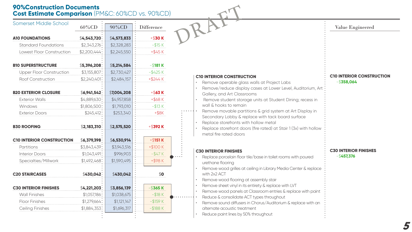### **C10 INTERIOR CONSTRUCTION**

- Replace porcelain floor tile/base in toilet rooms with poured urethane flooring
- Remove wood grilles at ceiling in Library Media Center & replace with 2x2 ACT
- Remove wood flooring at assembly stair
- Remove sheet vinyl in its entirety & replace with LVT
- Remove wood panels at Classroom entries & replace with paint
- Reduce & consolidate ACT types throughout
- Remove sound diffusers in Chorus/Auditorium & replace with an alternate acoustic treatment
- Reduce paint lines by 50% throughout
- Remove operable glass walls at Project Labs
- Remove/reduce display cases at Lower Level, Auditorium, Art Gallery, and Art Classrooms
- Remove student storage units at Student Dining; recess in wall & hooks to remain
- Remove movable partitions & grid system at Art Display in Secondary Lobby & replace with tack board surface
- Replace storefronts with hollow metal
- Replace storefront doors (fire rated) at Stair 1 (3x) with hollow metal fire rated doors

### **C30 INTERIOR FINISHES**



**5**

| Somerset Middle School           |                |             |                   |                                                     |
|----------------------------------|----------------|-------------|-------------------|-----------------------------------------------------|
|                                  | 60%CD          | 90%CD       | <b>Difference</b> |                                                     |
| <b>A10 FOUNDATIONS</b>           | $$4,543,720$ : | \$4,573,833 | $+$ \$30 K        |                                                     |
| <b>Standard Foundations</b>      | $$2,343,276$ : | \$2,328,283 | $-$ \$15 $K$      |                                                     |
| Lowest Floor Construction        | $$2,200,444$ : | \$2,245,550 | $+$ \$45 $K$      |                                                     |
| <b>B10 SUPERSTRUCTURE</b>        | \$5,396,208    | \$5,214,584 | $-$ \$181 K       |                                                     |
| <b>Upper Floor Construction</b>  | $$3,155,807$ : | \$2,730,427 | $-$ \$425 $K$     |                                                     |
| <b>Roof Construction</b>         | $$2,240,401$ : | \$2,484,157 | $+$ \$244 K       | <b>C10 INTERIOR CONSTRUG</b><br>Remove operable gla |
|                                  |                |             |                   | Remove/reduce displ                                 |
| <b>B20 EXTERIOR CLOSURE</b>      | $$6,941,542$ : | \$7,004,208 | $+$ \$63 $K$      | Gallery, and Art Class                              |
| <b>Exterior Walls</b>            | \$4,889,630:   | \$4,957,858 | $+$ \$68 $K$      | Remove student stor                                 |
| Windows                          | $$1,806,500$ : | \$1,793,010 | $-$ \$13 K        | wall & hooks to remai                               |
| <b>Exterior Doors</b>            | $$245,412$ :   | \$253,340   | $+$ \$8 $K$       | Remove movable par                                  |
|                                  |                |             |                   | Secondary Lobby & re<br>Replace storefronts w       |
| <b>B30 ROOFING</b>               | \$2,183,310    | \$2,575,520 | $+$ \$392 K       | Replace storefront do                               |
|                                  |                |             |                   | metal fire rated doors                              |
| <b>C10 INTERIOR CONSTRUCTION</b> | \$6,379,398    | \$6,530,914 | $+$ \$151 K       |                                                     |
| Partitions                       | \$3,843,439:   | \$3,943,516 | $+$100 K$         |                                                     |
| <b>Interior Doors</b>            | $$1,043,491$ : | \$996,903   | $-$ \$47 $K$      | <b>C30 INTERIOR FINISHES</b>                        |
| Specialties/Millwork             | $$1,492,468$ : | \$1,590,495 | $+$ \$98 $K$      | Replace porcelain floo<br>urethane flooring         |
|                                  |                |             |                   | Remove wood grilles at                              |
| <b>C20 STAIRCASES</b>            | $$430,042$ :   | \$430,042   | \$o\$             | with 2x2 ACT                                        |
|                                  |                |             |                   | Remove wood flooring                                |
| <b>C30 INTERIOR FINISHES</b>     | \$4,221,203    | \$3,856,139 | $-$ \$365 $K$     | Remove sheet vinyl in it                            |
| <b>Wall Finishes</b>             | $$1,057,186$ : | \$1,038,675 | $-$ \$18 $K$      | Remove wood panels<br>Reduce & consolidate.         |
| <b>Floor Finishes</b>            | \$1,279,664    | \$1,121,147 | $-$ \$159 K       | Remove sound diffuser                               |
| <b>Ceiling Finishes</b>          | $$1,884,353$ : | \$1,696,317 | $-$ \$188 $K$     | alternate acoustic trec                             |
|                                  |                |             |                   | Reduce paint lines by 5                             |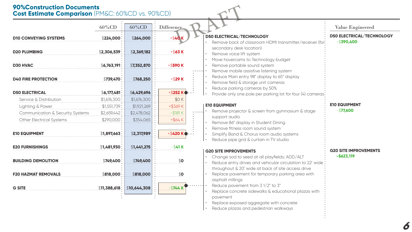| <b>90%Construction Documents</b><br><b>Cost Estimate Comparison (PM&amp;C: 60%CD vs. 90%CD)</b> |                |              |                       |                                                                                                                                                                  |
|-------------------------------------------------------------------------------------------------|----------------|--------------|-----------------------|------------------------------------------------------------------------------------------------------------------------------------------------------------------|
|                                                                                                 | 60%CD          | 60%CD        | <b>Difference</b>     |                                                                                                                                                                  |
| <b>D10 CONVEYING SYSTEMS</b>                                                                    | \$224,000:     | \$264,000    | $+$ \$40              | <b>D50 ELECTRICAL/TECHNOLOGY</b><br>Remove back of classroom HDMI transmitter/receiver (for:                                                                     |
| <b>D20 PLUMBING</b>                                                                             | \$2,306,539    | \$2,369,182  | $+$ \$63 K            | secondary desk location)<br>Remove voice lift system                                                                                                             |
| <b>D30 HVAC</b>                                                                                 | \$6,763,191    | \$7,352,870  | $+$ \$590 K           | Move hovercams to Technology budget<br>Remove portable sound system                                                                                              |
| <b>D40 FIRE PROTECTION</b>                                                                      | \$739,470:     | \$768,250    | $+$ \$29 K            | Remove mobile assistive listening system<br>Reduce Main entry 98" display to 65" display<br>Remove field & storage unit cameras                                  |
| <b>D50 ELECTRICAL</b>                                                                           | $$6,177,481$ : | \$6,429,696  | +\$252 K              | Reduce parking cameras by 50%<br>Provide only one pole per parking lot for four (4) cameras:                                                                     |
| Service & Distribution                                                                          | $$1,676,300$ : | \$1,676,300  | \$0 K                 |                                                                                                                                                                  |
| Lighting & Power                                                                                | $$1,551,739$ : | \$1,921,269  | $+$ \$369 K           | <b>E10 EQUIPMENT</b>                                                                                                                                             |
| <b>Communication &amp; Security Systems</b>                                                     | \$2,659,442    | \$2,478,062  | $-$ \$181 $K$         | Remove projector & screen from gymnasium & stage                                                                                                                 |
| <b>Other Electrical Systems</b>                                                                 | $$290,000$ :   | \$354,065    | $+$ \$64 $K$          | support audio                                                                                                                                                    |
| <b>E10 EQUIPMENT</b>                                                                            | \$1,897,663    | \$2,317,989  | $+$ \$420 K $\bullet$ | Remove 86" display in Student Dining<br>Remove fitness room sound system<br>Simplify Band & Chorus room audio systems<br>Reduce pipe grid & curtain in TV studio |
| <b>E20 FURNISHINGS</b>                                                                          | $$1,481,930$ : | \$1,441,275  | $-$ \$41 K            |                                                                                                                                                                  |
|                                                                                                 |                |              |                       | <b>G20 SITE IMPROVEMENTS</b>                                                                                                                                     |
| <b>BUILDING DEMOLITION</b>                                                                      | $$749,400$ :   | \$749,400    | \$o                   | Change sod to seed at all playfields; ADD/ALT                                                                                                                    |
|                                                                                                 |                |              |                       | Reduce entry drives and vehicular circulation to 22' wide:                                                                                                       |
| <b>F20 HAZMAT REMOVALS</b>                                                                      | \$818,000:     | \$818,000    | \$o\$                 | throughout & 20' wide at back of site access drive<br>Replace pavement for temporary parking area with                                                           |
| <b>G SITE</b>                                                                                   | \$11,388,618   | \$10,644,308 | $-$ \$744 K           | asphalt millings<br>Reduce pavement from 3 1/2" to 3"<br>Replace concrete sidewalks & educational plazas with<br>pavement                                        |

- Replace exposed aggregate with concrete
- $|\cdot|$  Reduce plazas and pedestrian walkways



**6**